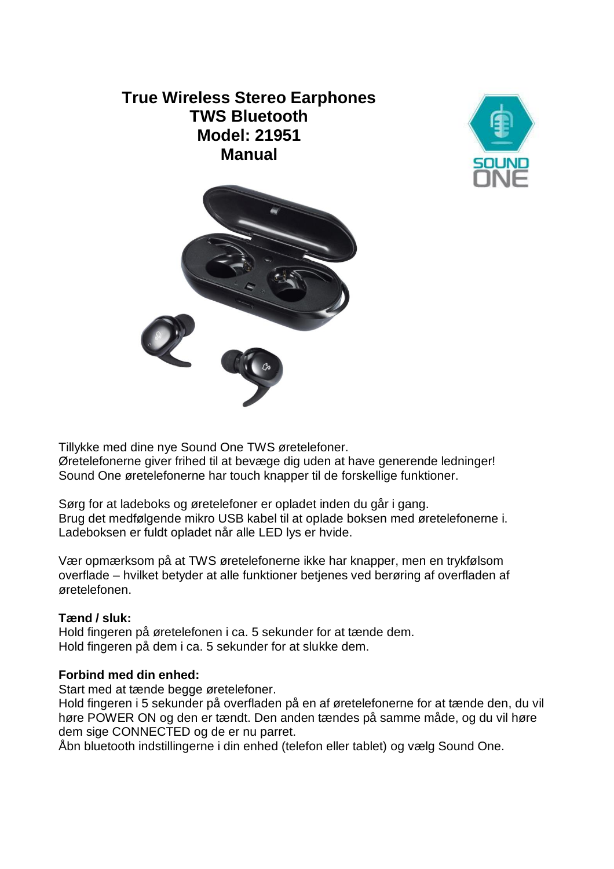# **True Wireless Stereo Earphones TWS Bluetooth Model: 21951 Manual**





Tillykke med dine nye Sound One TWS øretelefoner.

Øretelefonerne giver frihed til at bevæge dig uden at have generende ledninger! Sound One øretelefonerne har touch knapper til de forskellige funktioner.

Sørg for at ladeboks og øretelefoner er opladet inden du går i gang. Brug det medfølgende mikro USB kabel til at oplade boksen med øretelefonerne i. Ladeboksen er fuldt opladet når alle LED lys er hvide.

Vær opmærksom på at TWS øretelefonerne ikke har knapper, men en trykfølsom overflade – hvilket betyder at alle funktioner betjenes ved berøring af overfladen af øretelefonen.

## **Tænd / sluk:**

Hold fingeren på øretelefonen i ca. 5 sekunder for at tænde dem. Hold fingeren på dem i ca. 5 sekunder for at slukke dem.

## **Forbind med din enhed:**

Start med at tænde begge øretelefoner.

Hold fingeren i 5 sekunder på overfladen på en af øretelefonerne for at tænde den, du vil høre POWER ON og den er tændt. Den anden tændes på samme måde, og du vil høre dem sige CONNECTED og de er nu parret.

Åbn bluetooth indstillingerne i din enhed (telefon eller tablet) og vælg Sound One.